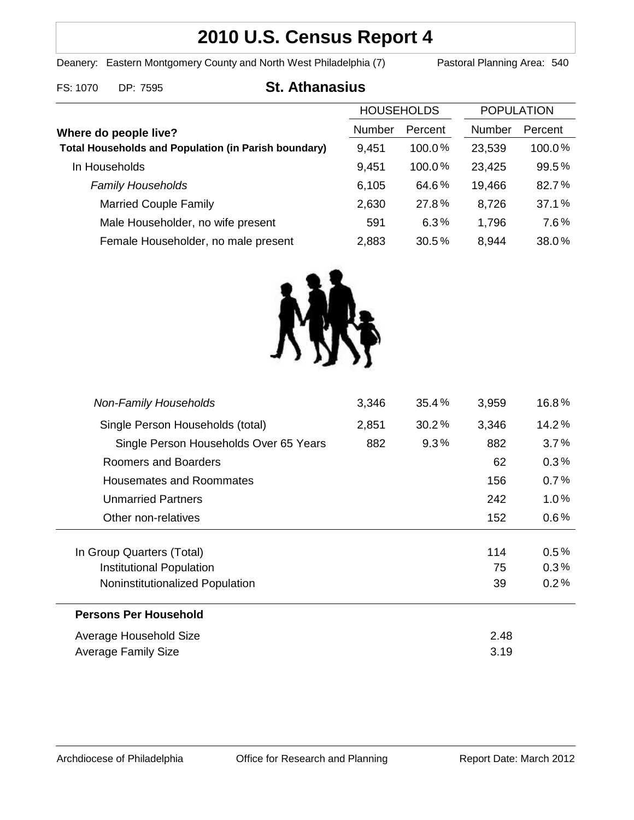# **2010 U.S. Census Report 4**

Deanery: Eastern Montgomery County and North West Philadelphia (7) Pastoral Planning Area: 540

### FS: 1070 DP: 7595 **St. Athanasius**

|                                                             | <b>HOUSEHOLDS</b> |           | <b>POPULATION</b> |         |
|-------------------------------------------------------------|-------------------|-----------|-------------------|---------|
| Where do people live?                                       | Number            | Percent   | <b>Number</b>     | Percent |
| <b>Total Households and Population (in Parish boundary)</b> | 9,451             | $100.0\%$ | 23,539            | 100.0%  |
| In Households                                               | 9,451             | 100.0%    | 23,425            | 99.5%   |
| <b>Family Households</b>                                    | 6,105             | 64.6%     | 19,466            | 82.7%   |
| <b>Married Couple Family</b>                                | 2,630             | 27.8%     | 8,726             | 37.1%   |
| Male Householder, no wife present                           | 591               | 6.3%      | 1,796             | 7.6%    |
| Female Householder, no male present                         | 2,883             | 30.5%     | 8,944             | 38.0%   |



| <b>Non-Family Households</b>           | 3,346 | 35.4%    | 3,959 | 16.8%   |
|----------------------------------------|-------|----------|-------|---------|
| Single Person Households (total)       | 2,851 | $30.2\%$ | 3,346 | 14.2%   |
| Single Person Households Over 65 Years | 882   | 9.3%     | 882   | 3.7%    |
| Roomers and Boarders                   |       |          | 62    | 0.3%    |
| Housemates and Roommates               |       |          | 156   | 0.7%    |
| <b>Unmarried Partners</b>              |       |          | 242   | $1.0\%$ |
| Other non-relatives                    |       |          | 152   | $0.6\%$ |
|                                        |       |          |       |         |
| In Group Quarters (Total)              |       |          | 114   | 0.5%    |
| Institutional Population               |       |          | 75    | 0.3%    |
| Noninstitutionalized Population        |       |          | 39    | 0.2%    |
| <b>Persons Per Household</b>           |       |          |       |         |
| Average Household Size                 |       |          | 2.48  |         |
| Average Family Size                    |       |          | 3.19  |         |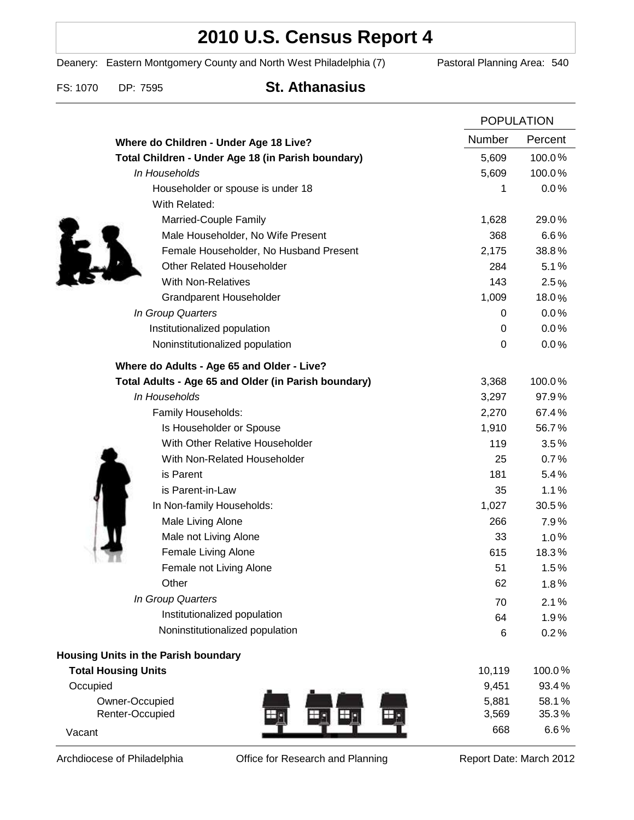## **2010 U.S. Census Report 4**

Deanery: Eastern Montgomery County and North West Philadelphia (7) Pastoral Planning Area: 540

FS: 1070 DP: 7595 **St. Athanasius**

|                                                      | <b>POPULATION</b> |                |
|------------------------------------------------------|-------------------|----------------|
| Where do Children - Under Age 18 Live?               | Number            | Percent        |
| Total Children - Under Age 18 (in Parish boundary)   | 5,609             | 100.0%         |
| In Households                                        | 5,609             | 100.0%         |
| Householder or spouse is under 18                    | 1                 | 0.0%           |
| With Related:                                        |                   |                |
| Married-Couple Family                                | 1,628             | 29.0%          |
| Male Householder, No Wife Present                    | 368               | 6.6%           |
| Female Householder, No Husband Present               | 2,175             | 38.8%          |
| <b>Other Related Householder</b>                     | 284               | 5.1%           |
| <b>With Non-Relatives</b>                            | 143               | 2.5%           |
| <b>Grandparent Householder</b>                       | 1,009             | 18.0%          |
| In Group Quarters                                    | 0                 | 0.0%           |
| Institutionalized population                         | 0                 | 0.0%           |
| Noninstitutionalized population                      | 0                 | 0.0%           |
| Where do Adults - Age 65 and Older - Live?           |                   |                |
| Total Adults - Age 65 and Older (in Parish boundary) | 3,368             | 100.0%         |
| In Households                                        | 3,297             | 97.9%          |
| Family Households:                                   | 2,270             | 67.4%          |
| Is Householder or Spouse                             | 1,910             | 56.7%          |
| With Other Relative Householder                      | 119               | 3.5%           |
| With Non-Related Householder                         | 25                | 0.7%           |
| is Parent                                            | 181               | 5.4%           |
| is Parent-in-Law                                     | 35                | 1.1%           |
| In Non-family Households:                            | 1,027             | 30.5%          |
| Male Living Alone                                    | 266               | 7.9%           |
| Male not Living Alone                                | 33                | $1.0\%$        |
| Female Living Alone                                  | 615               | 18.3%          |
| Female not Living Alone                              | 51                | 1.5%           |
| Other                                                | 62                | 1.8%           |
| In Group Quarters                                    | 70                | 2.1%           |
| Institutionalized population                         | 64                | 1.9%           |
| Noninstitutionalized population                      | 6                 | 0.2%           |
| <b>Housing Units in the Parish boundary</b>          |                   |                |
| <b>Total Housing Units</b>                           | 10,119            | 100.0%         |
| Occupied                                             | 9,451             | 93.4%          |
| Owner-Occupied<br>Renter-Occupied                    | 5,881<br>3,569    | 58.1%<br>35.3% |
| Vacant                                               | 668               | 6.6%           |

Archdiocese of Philadelphia **Office for Research and Planning** Report Date: March 2012